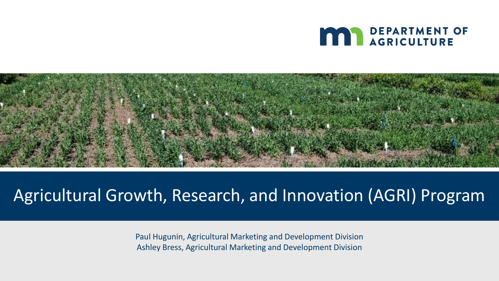



#### Agricultural Growth, Research, and Innovation (AGRI) Program

Paul Hugunin, Agricultural Marketing and Development Division Ashley Bress, Agricultural Marketing and Development Division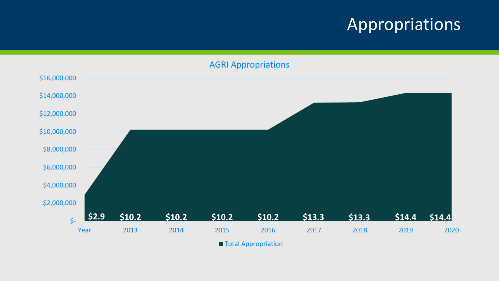#### Appropriations

AGRI Appropriations



**Total Appropriation**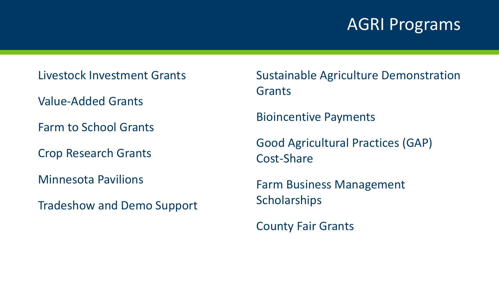#### AGRI Programs

Livestock Investment Grants

Value-Added Grants

Farm to School Grants

Crop Research Grants

Minnesota Pavilions

Tradeshow and Demo Support

Sustainable Agriculture Demonstration **Grants** 

Bioincentive Payments

Good Agricultural Practices (GAP) Cost-Share

Farm Business Management **Scholarships** 

County Fair Grants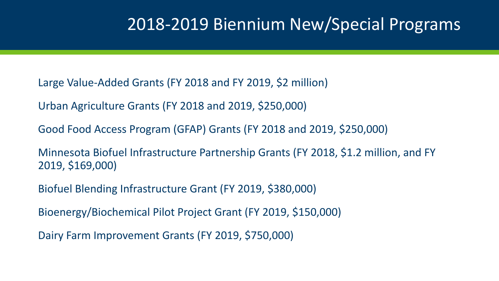#### 2018-2019 Biennium New/Special Programs

Large Value-Added Grants (FY 2018 and FY 2019, \$2 million)

Urban Agriculture Grants (FY 2018 and 2019, \$250,000)

Good Food Access Program (GFAP) Grants (FY 2018 and 2019, \$250,000)

Minnesota Biofuel Infrastructure Partnership Grants (FY 2018, \$1.2 million, and FY 2019, \$169,000)

Biofuel Blending Infrastructure Grant (FY 2019, \$380,000)

Bioenergy/Biochemical Pilot Project Grant (FY 2019, \$150,000)

Dairy Farm Improvement Grants (FY 2019, \$750,000)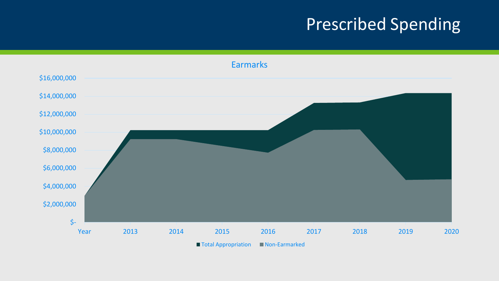## Prescribed Spending

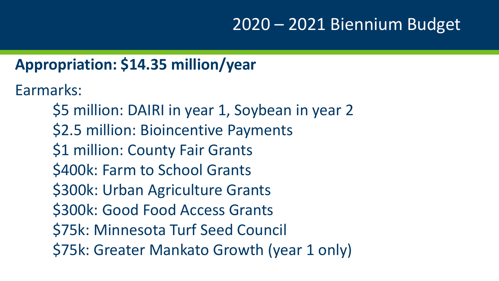### 2020 – 2021 Biennium Budget

#### **Appropriation: \$14.35 million/year**

Earmarks:

\$5 million: DAIRI in year 1, Soybean in year 2 \$2.5 million: Bioincentive Payments \$1 million: County Fair Grants \$400k: Farm to School Grants \$300k: Urban Agriculture Grants \$300k: Good Food Access Grants \$75k: Minnesota Turf Seed Council \$75k: Greater Mankato Growth (year 1 only)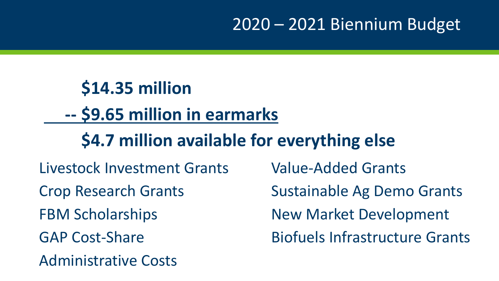### 2020 – 2021 Biennium Budget

## **\$14.35 million -- \$9.65 million in earmarks \$4.7 million available for everything else** Livestock Investment Grants Value-Added Grants Crop Research Grants Sustainable Ag Demo Grants

Administrative Costs

FBM Scholarships New Market Development GAP Cost-Share Biofuels Infrastructure Grants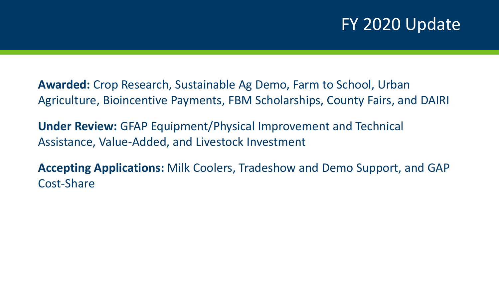#### FY 2020 Update

**Awarded:** Crop Research, Sustainable Ag Demo, Farm to School, Urban Agriculture, Bioincentive Payments, FBM Scholarships, County Fairs, and DAIRI

**Under Review:** GFAP Equipment/Physical Improvement and Technical Assistance, Value-Added, and Livestock Investment

**Accepting Applications:** Milk Coolers, Tradeshow and Demo Support, and GAP Cost-Share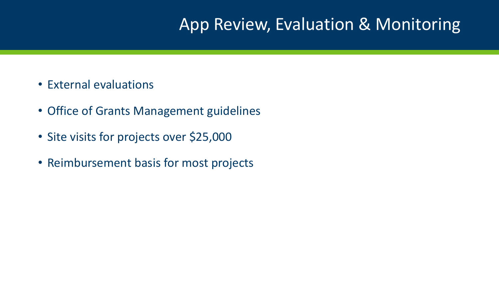#### App Review, Evaluation & Monitoring

- External evaluations
- Office of Grants Management guidelines
- Site visits for projects over \$25,000
- Reimbursement basis for most projects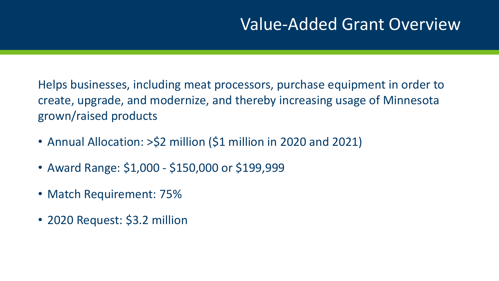#### Value-Added Grant Overview

Helps businesses, including meat processors, purchase equipment in order to create, upgrade, and modernize, and thereby increasing usage of Minnesota grown/raised products

- Annual Allocation: >\$2 million (\$1 million in 2020 and 2021)
- Award Range: \$1,000 \$150,000 or \$199,999
- Match Requirement: 75%
- 2020 Request: \$3.2 million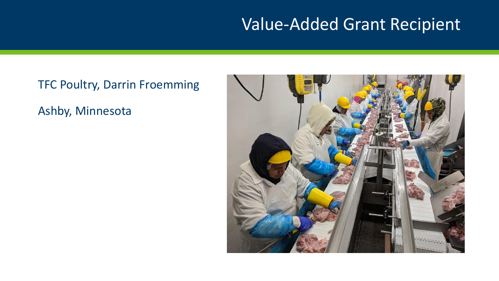#### Value-Added Grant Recipient

## TFC Poultry, Darrin Froemming Ashby, Minnesota

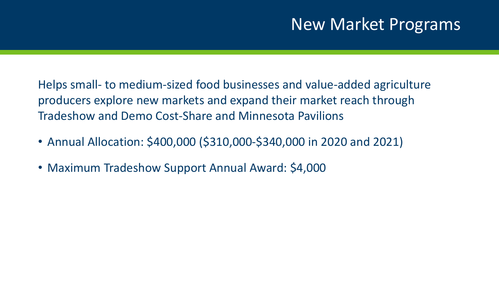#### New Market Programs

Helps small- to medium-sized food businesses and value-added agriculture producers explore new markets and expand their market reach through Tradeshow and Demo Cost-Share and Minnesota Pavilions

- Annual Allocation: \$400,000 (\$310,000-\$340,000 in 2020 and 2021)
- Maximum Tradeshow Support Annual Award: \$4,000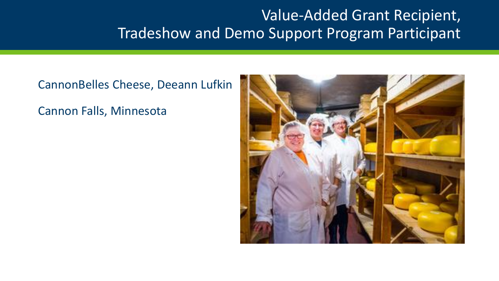#### Value-Added Grant Recipient, Tradeshow and Demo Support Program Participant

CannonBelles Cheese, Deeann Lufkin Cannon Falls, Minnesota

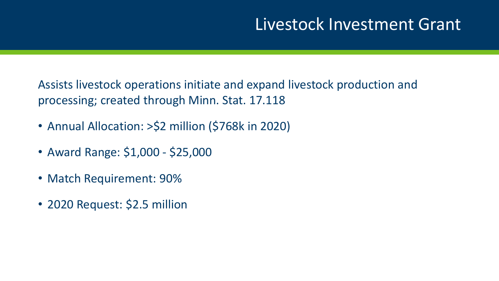#### Livestock Investment Grant

Assists livestock operations initiate and expand livestock production and processing; created through Minn. Stat. 17.118

- Annual Allocation: >\$2 million (\$768k in 2020)
- Award Range: \$1,000 \$25,000
- Match Requirement: 90%
- 2020 Request: \$2.5 million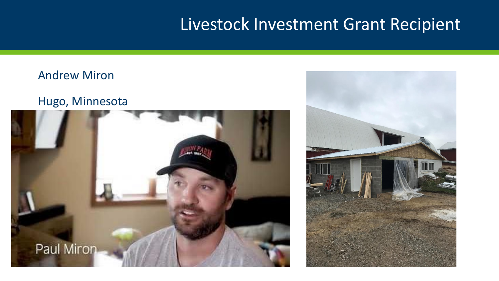#### Livestock Investment Grant Recipient

#### Andrew Miron

#### Hugo, Minnesota